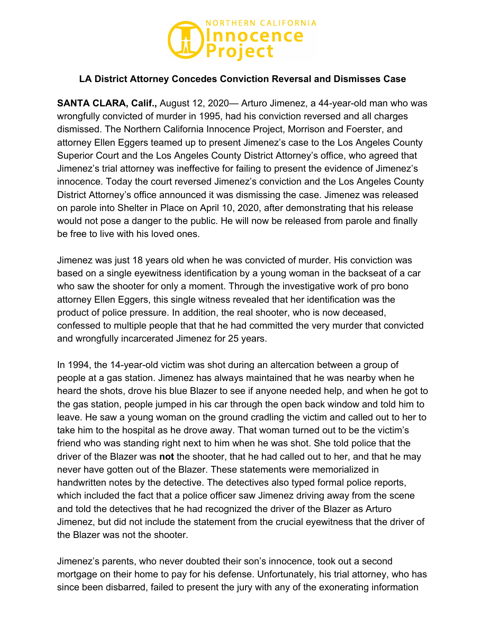

## **LA District Attorney Concedes Conviction Reversal and Dismisses Case**

**SANTA CLARA, Calif.,** August 12, 2020— Arturo Jimenez, a 44-year-old man who was wrongfully convicted of murder in 1995, had his conviction reversed and all charges dismissed. The Northern California Innocence Project, Morrison and Foerster, and attorney Ellen Eggers teamed up to present Jimenez's case to the Los Angeles County Superior Court and the Los Angeles County District Attorney's office, who agreed that Jimenez's trial attorney was ineffective for failing to present the evidence of Jimenez's innocence. Today the court reversed Jimenez's conviction and the Los Angeles County District Attorney's office announced it was dismissing the case. Jimenez was released on parole into Shelter in Place on April 10, 2020, after demonstrating that his release would not pose a danger to the public. He will now be released from parole and finally be free to live with his loved ones.

Jimenez was just 18 years old when he was convicted of murder. His conviction was based on a single eyewitness identification by a young woman in the backseat of a car who saw the shooter for only a moment. Through the investigative work of pro bono attorney Ellen Eggers, this single witness revealed that her identification was the product of police pressure. In addition, the real shooter, who is now deceased, confessed to multiple people that that he had committed the very murder that convicted and wrongfully incarcerated Jimenez for 25 years.

In 1994, the 14-year-old victim was shot during an altercation between a group of people at a gas station. Jimenez has always maintained that he was nearby when he heard the shots, drove his blue Blazer to see if anyone needed help, and when he got to the gas station, people jumped in his car through the open back window and told him to leave. He saw a young woman on the ground cradling the victim and called out to her to take him to the hospital as he drove away. That woman turned out to be the victim's friend who was standing right next to him when he was shot. She told police that the driver of the Blazer was **not** the shooter, that he had called out to her, and that he may never have gotten out of the Blazer. These statements were memorialized in handwritten notes by the detective. The detectives also typed formal police reports, which included the fact that a police officer saw Jimenez driving away from the scene and told the detectives that he had recognized the driver of the Blazer as Arturo Jimenez, but did not include the statement from the crucial eyewitness that the driver of the Blazer was not the shooter.

Jimenez's parents, who never doubted their son's innocence, took out a second mortgage on their home to pay for his defense. Unfortunately, his trial attorney, who has since been disbarred, failed to present the jury with any of the exonerating information